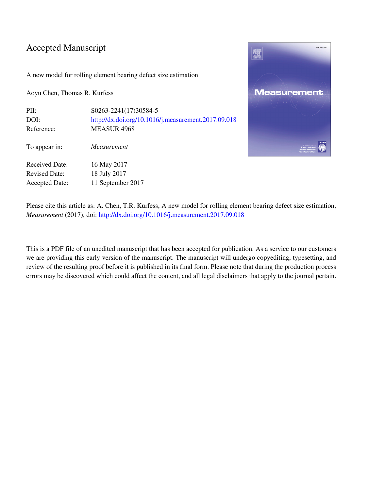## Accepted Manuscript

A new model for rolling element bearing defect size estimation

Aoyu Chen, Thomas R. Kurfess

| PII:                  | S0263-2241(17)30584-5                               |
|-----------------------|-----------------------------------------------------|
| DOI:                  | http://dx.doi.org/10.1016/j.measurement.2017.09.018 |
| Reference:            | <b>MEASUR 4968</b>                                  |
|                       |                                                     |
| To appear in:         | Measurement                                         |
|                       |                                                     |
| Received Date:        | 16 May 2017                                         |
| <b>Revised Date:</b>  | 18 July 2017                                        |
| <b>Accepted Date:</b> | 11 September 2017                                   |



Please cite this article as: A. Chen, T.R. Kurfess, A new model for rolling element bearing defect size estimation, *Measurement* (2017), doi: [http://dx.doi.org/10.1016/j.measurement.2017.09.018](http://dx.doi.org/http://dx.doi.org/10.1016/j.measurement.2017.09.018)

This is a PDF file of an unedited manuscript that has been accepted for publication. As a service to our customers we are providing this early version of the manuscript. The manuscript will undergo copyediting, typesetting, and review of the resulting proof before it is published in its final form. Please note that during the production process errors may be discovered which could affect the content, and all legal disclaimers that apply to the journal pertain.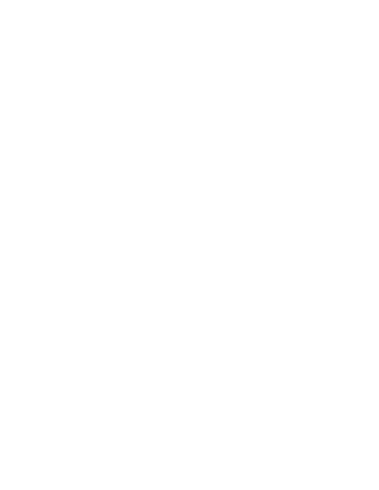## **SFFHSWHG ODQXVFULSW**

\$ QHZ PRGHO IRU UROOLQJ HOHPHQW EHDULQJ GHIHFW VL]H HVWLPI

**SR\X & KHQ 7KRPDV 5 .XUIHVV** 

 $3,$ 6  $12.$ KWWS GIGRL RUJ M PHDVXUHPHQW 5HIHUHQFH 0(\$685

7R DSSHDU LQHDVXUHPHQW

5HFHLYHG 'DWHOD\ 5HYLVHG 'DWH - XO\ SFFHSWHG 'DWAHSWHPEHU

3 OHD VH FLWH WKLV DUWLFOH DV \$ & KHQ 7 5 . XUIH VV \$ QHZ PRG OHDVXUHPHQWOKRWLWS GIGRL RUJ M PHDVXUHPHQW

7KLV LV D 3') ILOH RI DQ XQHGLWHG PDQXVFULSW WKDW KDV EHHQ I ZH DUH SURYLGLQJ WKLV HDUO\ YHUVLRQ RI WKH PDQXVFULSW 7KH UHYLHZ RI WKH UHVXOWLQJ SURRI EHIRUH LW LV SXEOLVKHG LQ LW' HUURUV PD\ EH GLVFRYHUHG ZKLFK FRXOG DIIHFW WKH FRQWHQW D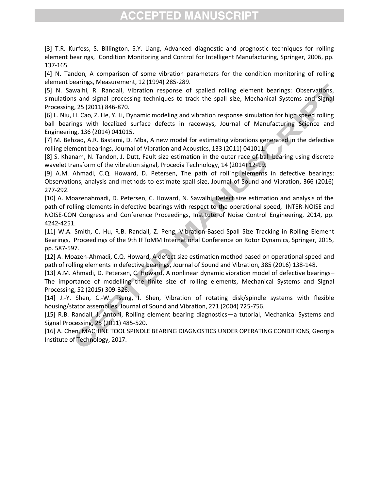## **ACCEPTED MANUSCRIPT**

[3] T.R. Kurfess, S. Billington, S.Y. Liang, Advanced diagnostic and prognostic techniques for rolling element bearings, Condition Monitoring and Control for Intelligent Manufacturing, Springer, 2006, pp. 137-165.

[4] N. Tandon, A comparison of some vibration parameters for the condition monitoring of rolling element bearings, Measurement, 12 (1994) 285-289.

[5] N. Sawalhi, R. Randall, Vibration response of spalled rolling element bearings: Observations, simulations and signal processing techniques to track the spall size, Mechanical Systems and Signal Processing, 25 (2011) 846-870.

[6] L. Niu, H. Cao, Z. He, Y. Li, Dynamic modeling and vibration response simulation for high speed rolling ball bearings with localized surface defects in raceways, Journal of Manufacturing Science and Engineering, 136 (2014) 041015.

 [7] M. Behzad, A.R. Bastami, D. Mba, A new model for estimating vibrations generated in the defective rolling element bearings, Journal of Vibration and Acoustics, 133 (2011) 041011.

[8] S. Khanam, N. Tandon, J. Dutt, Fault size estimation in the outer race of ball bearing using discrete wavelet transform of the vibration signal, Procedia Technology, 14 (2014) 12-19.

[9] A.M. Ahmadi, C.Q. Howard, D. Petersen, The path of rolling elements in defective bearings: Observations, analysis and methods to estimate spall size, Journal of Sound and Vibration, 366 (2016) 277-292.

[10] A. Moazenahmadi, D. Petersen, C. Howard, N. Sawalhi, Defect size estimation and analysis of the path of rolling elements in defective bearings with respect to the operational speed, INTER-NOISE and NOISE-CON Congress and Conference Proceedings, Institute of Noise Control Engineering, 2014, pp. 4242-4251.

[11] W.A. Smith, C. Hu, R.B. Randall, Z. Peng, Vibration-Based Spall Size Tracking in Rolling Element Bearings, Proceedings of the 9th IFToMM International Conference on Rotor Dynamics, Springer, 2015, pp. 587-597.

[12] A. Moazen-Ahmadi, C.Q. Howard, A defect size estimation method based on operational speed and path of rolling elements in defective bearings, Journal of Sound and Vibration, 385 (2016) 138-148.

[13] A.M. Ahmadi, D. Petersen, C. Howard, A nonlinear dynamic vibration model of defective bearings– The importance of modelling the finite size of rolling elements, Mechanical Systems and Signal Processing, 52 (2015) 309-326.

[14] J.-Y. Shen, C.-W. Tseng, I. Shen, Vibration of rotating disk/spindle systems with flexible housing/stator assemblies, Journal of Sound and Vibration, 271 (2004) 725-756.

[15] R.B. Randall, J. Antoni, Rolling element bearing diagnostics—a tutorial, Mechanical Systems and Signal Processing, 25 (2011) 485-520.

[16] A. Chen, MACHINE TOOL SPINDLE BEARING DIAGNOSTICS UNDER OPERATING CONDITIONS, Georgia Institute of Technology, 2017.